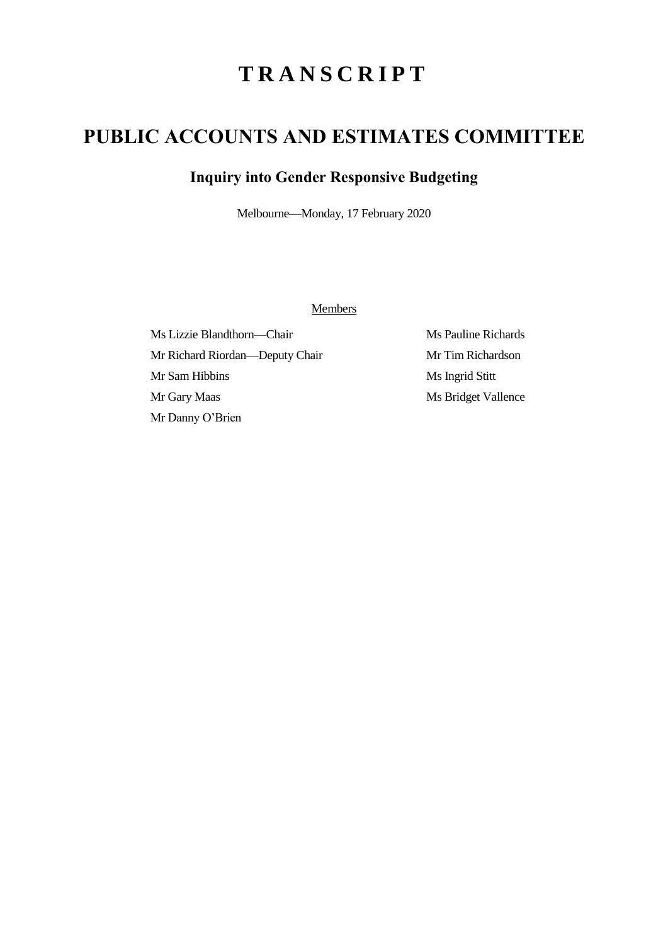# **T R A N S C R I P T**

## **PUBLIC ACCOUNTS AND ESTIMATES COMMITTEE**

### **Inquiry into Gender Responsive Budgeting**

Melbourne—Monday, 17 February 2020

Members

Ms Lizzie Blandthorn—Chair Ms Pauline Richards Mr Richard Riordan—Deputy Chair Mr Tim Richardson Mr Sam Hibbins Ms Ingrid Stitt Mr Gary Maas Ms Bridget Vallence Mr Danny O'Brien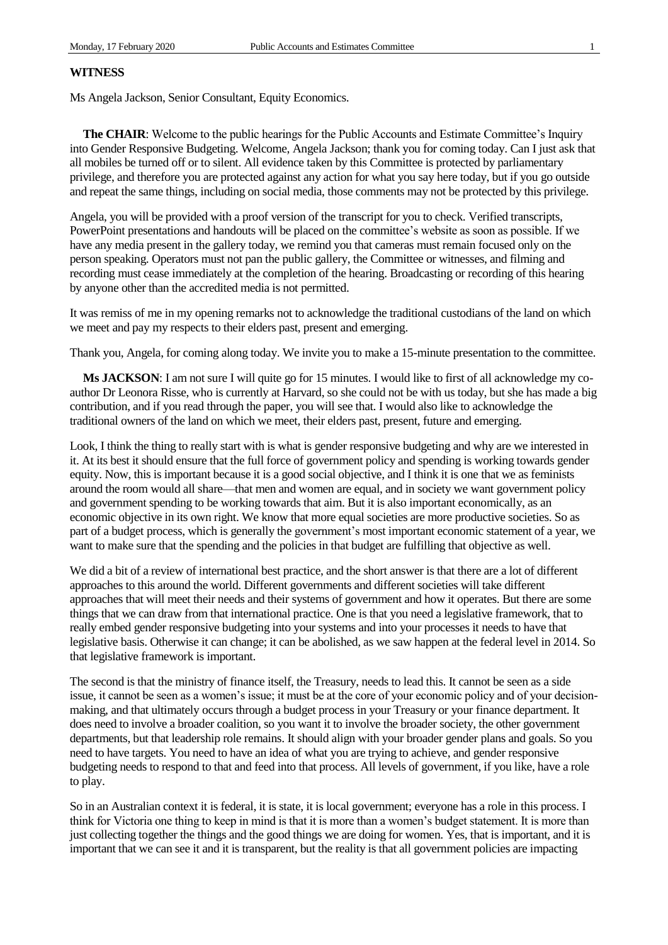#### **WITNESS**

Ms Angela Jackson, Senior Consultant, Equity Economics.

**The CHAIR**: Welcome to the public hearings for the Public Accounts and Estimate Committee's Inquiry into Gender Responsive Budgeting. Welcome, Angela Jackson; thank you for coming today. Can I just ask that all mobiles be turned off or to silent. All evidence taken by this Committee is protected by parliamentary privilege, and therefore you are protected against any action for what you say here today, but if you go outside and repeat the same things, including on social media, those comments may not be protected by this privilege.

Angela, you will be provided with a proof version of the transcript for you to check. Verified transcripts, PowerPoint presentations and handouts will be placed on the committee's website as soon as possible. If we have any media present in the gallery today, we remind you that cameras must remain focused only on the person speaking. Operators must not pan the public gallery, the Committee or witnesses, and filming and recording must cease immediately at the completion of the hearing. Broadcasting or recording of this hearing by anyone other than the accredited media is not permitted.

It was remiss of me in my opening remarks not to acknowledge the traditional custodians of the land on which we meet and pay my respects to their elders past, present and emerging.

Thank you, Angela, for coming along today. We invite you to make a 15-minute presentation to the committee.

**Ms JACKSON:** I am not sure I will quite go for 15 minutes. I would like to first of all acknowledge my coauthor Dr Leonora Risse, who is currently at Harvard, so she could not be with us today, but she has made a big contribution, and if you read through the paper, you will see that. I would also like to acknowledge the traditional owners of the land on which we meet, their elders past, present, future and emerging.

Look, I think the thing to really start with is what is gender responsive budgeting and why are we interested in it. At its best it should ensure that the full force of government policy and spending is working towards gender equity. Now, this is important because it is a good social objective, and I think it is one that we as feminists around the room would all share—that men and women are equal, and in society we want government policy and government spending to be working towards that aim. But it is also important economically, as an economic objective in its own right. We know that more equal societies are more productive societies. So as part of a budget process, which is generally the government's most important economic statement of a year, we want to make sure that the spending and the policies in that budget are fulfilling that objective as well.

We did a bit of a review of international best practice, and the short answer is that there are a lot of different approaches to this around the world. Different governments and different societies will take different approaches that will meet their needs and their systems of government and how it operates. But there are some things that we can draw from that international practice. One is that you need a legislative framework, that to really embed gender responsive budgeting into your systems and into your processes it needs to have that legislative basis. Otherwise it can change; it can be abolished, as we saw happen at the federal level in 2014. So that legislative framework is important.

The second is that the ministry of finance itself, the Treasury, needs to lead this. It cannot be seen as a side issue, it cannot be seen as a women's issue; it must be at the core of your economic policy and of your decisionmaking, and that ultimately occurs through a budget process in your Treasury or your finance department. It does need to involve a broader coalition, so you want it to involve the broader society, the other government departments, but that leadership role remains. It should align with your broader gender plans and goals. So you need to have targets. You need to have an idea of what you are trying to achieve, and gender responsive budgeting needs to respond to that and feed into that process. All levels of government, if you like, have a role to play.

So in an Australian context it is federal, it is state, it is local government; everyone has a role in this process. I think for Victoria one thing to keep in mind is that it is more than a women's budget statement. It is more than just collecting together the things and the good things we are doing for women. Yes, that is important, and it is important that we can see it and it is transparent, but the reality is that all government policies are impacting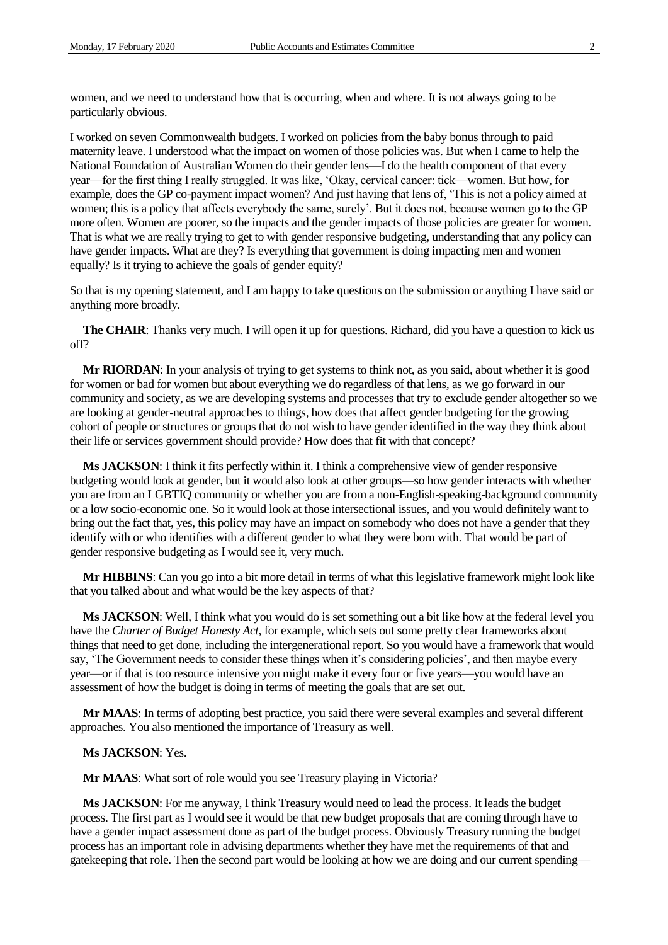women, and we need to understand how that is occurring, when and where. It is not always going to be particularly obvious.

I worked on seven Commonwealth budgets. I worked on policies from the baby bonus through to paid maternity leave. I understood what the impact on women of those policies was. But when I came to help the National Foundation of Australian Women do their gender lens—I do the health component of that every year—for the first thing I really struggled. It was like, 'Okay, cervical cancer: tick—women. But how, for example, does the GP co-payment impact women? And just having that lens of, 'This is not a policy aimed at women; this is a policy that affects everybody the same, surely'. But it does not, because women go to the GP more often. Women are poorer, so the impacts and the gender impacts of those policies are greater for women. That is what we are really trying to get to with gender responsive budgeting, understanding that any policy can have gender impacts. What are they? Is everything that government is doing impacting men and women equally? Is it trying to achieve the goals of gender equity?

So that is my opening statement, and I am happy to take questions on the submission or anything I have said or anything more broadly.

**The CHAIR**: Thanks very much. I will open it up for questions. Richard, did you have a question to kick us off?

**Mr RIORDAN**: In your analysis of trying to get systems to think not, as you said, about whether it is good for women or bad for women but about everything we do regardless of that lens, as we go forward in our community and society, as we are developing systems and processes that try to exclude gender altogether so we are looking at gender-neutral approaches to things, how does that affect gender budgeting for the growing cohort of people or structures or groups that do not wish to have gender identified in the way they think about their life or services government should provide? How does that fit with that concept?

**Ms JACKSON**: I think it fits perfectly within it. I think a comprehensive view of gender responsive budgeting would look at gender, but it would also look at other groups—so how gender interacts with whether you are from an LGBTIQ community or whether you are from a non-English-speaking-background community or a low socio-economic one. So it would look at those intersectional issues, and you would definitely want to bring out the fact that, yes, this policy may have an impact on somebody who does not have a gender that they identify with or who identifies with a different gender to what they were born with. That would be part of gender responsive budgeting as I would see it, very much.

**Mr HIBBINS**: Can you go into a bit more detail in terms of what this legislative framework might look like that you talked about and what would be the key aspects of that?

**Ms JACKSON**: Well, I think what you would do is set something out a bit like how at the federal level you have the *Charter of Budget Honesty Act*, for example, which sets out some pretty clear frameworks about things that need to get done, including the intergenerational report. So you would have a framework that would say, 'The Government needs to consider these things when it's considering policies', and then maybe every year—or if that is too resource intensive you might make it every four or five years—you would have an assessment of how the budget is doing in terms of meeting the goals that are set out.

**Mr MAAS**: In terms of adopting best practice, you said there were several examples and several different approaches. You also mentioned the importance of Treasury as well.

#### **Ms JACKSON**: Yes.

**Mr MAAS**: What sort of role would you see Treasury playing in Victoria?

**Ms JACKSON**: For me anyway, I think Treasury would need to lead the process. It leads the budget process. The first part as I would see it would be that new budget proposals that are coming through have to have a gender impact assessment done as part of the budget process. Obviously Treasury running the budget process has an important role in advising departments whether they have met the requirements of that and gatekeeping that role. Then the second part would be looking at how we are doing and our current spending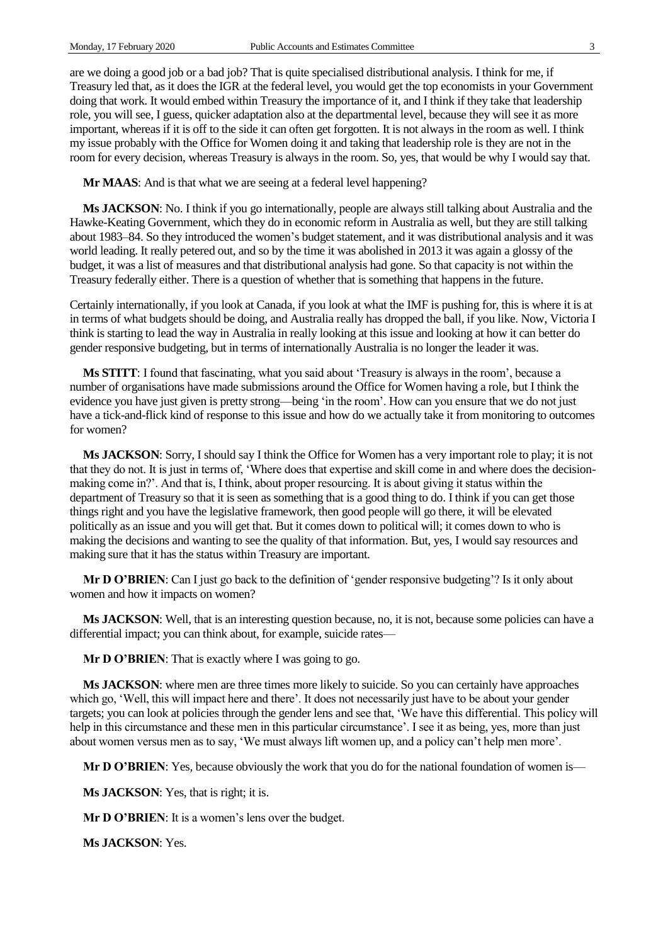are we doing a good job or a bad job? That is quite specialised distributional analysis. I think for me, if Treasury led that, as it does the IGR at the federal level, you would get the top economists in your Government doing that work. It would embed within Treasury the importance of it, and I think if they take that leadership role, you will see, I guess, quicker adaptation also at the departmental level, because they will see it as more important, whereas if it is off to the side it can often get forgotten. It is not always in the room as well. I think my issue probably with the Office for Women doing it and taking that leadership role is they are not in the room for every decision, whereas Treasury is always in the room. So, yes, that would be why I would say that.

**Mr MAAS:** And is that what we are seeing at a federal level happening?

**Ms JACKSON**: No. I think if you go internationally, people are always still talking about Australia and the Hawke-Keating Government, which they do in economic reform in Australia as well, but they are still talking about 1983–84. So they introduced the women's budget statement, and it was distributional analysis and it was world leading. It really petered out, and so by the time it was abolished in 2013 it was again a glossy of the budget, it was a list of measures and that distributional analysis had gone. So that capacity is not within the Treasury federally either. There is a question of whether that is something that happens in the future.

Certainly internationally, if you look at Canada, if you look at what the IMF is pushing for, this is where it is at in terms of what budgets should be doing, and Australia really has dropped the ball, if you like. Now, Victoria I think is starting to lead the way in Australia in really looking at this issue and looking at how it can better do gender responsive budgeting, but in terms of internationally Australia is no longer the leader it was.

**Ms STITT**: I found that fascinating, what you said about 'Treasury is always in the room', because a number of organisations have made submissions around the Office for Women having a role, but I think the evidence you have just given is pretty strong—being 'in the room'. How can you ensure that we do not just have a tick-and-flick kind of response to this issue and how do we actually take it from monitoring to outcomes for women?

**Ms JACKSON**: Sorry, I should say I think the Office for Women has a very important role to play; it is not that they do not. It is just in terms of, 'Where does that expertise and skill come in and where does the decisionmaking come in?'. And that is, I think, about proper resourcing. It is about giving it status within the department of Treasury so that it is seen as something that is a good thing to do. I think if you can get those things right and you have the legislative framework, then good people will go there, it will be elevated politically as an issue and you will get that. But it comes down to political will; it comes down to who is making the decisions and wanting to see the quality of that information. But, yes, I would say resources and making sure that it has the status within Treasury are important.

**Mr D O'BRIEN**: Can I just go back to the definition of 'gender responsive budgeting'? Is it only about women and how it impacts on women?

**Ms JACKSON**: Well, that is an interesting question because, no, it is not, because some policies can have a differential impact; you can think about, for example, suicide rates—

**Mr D O'BRIEN:** That is exactly where I was going to go.

**Ms JACKSON**: where men are three times more likely to suicide. So you can certainly have approaches which go, 'Well, this will impact here and there'. It does not necessarily just have to be about your gender targets; you can look at policies through the gender lens and see that, 'We have this differential. This policy will help in this circumstance and these men in this particular circumstance'. I see it as being, yes, more than just about women versus men as to say, 'We must always lift women up, and a policy can't help men more'.

**Mr D O'BRIEN:** Yes, because obviously the work that you do for the national foundation of women is—

**Ms JACKSON**: Yes, that is right; it is.

**Mr D O'BRIEN**: It is a women's lens over the budget.

**Ms JACKSON**: Yes.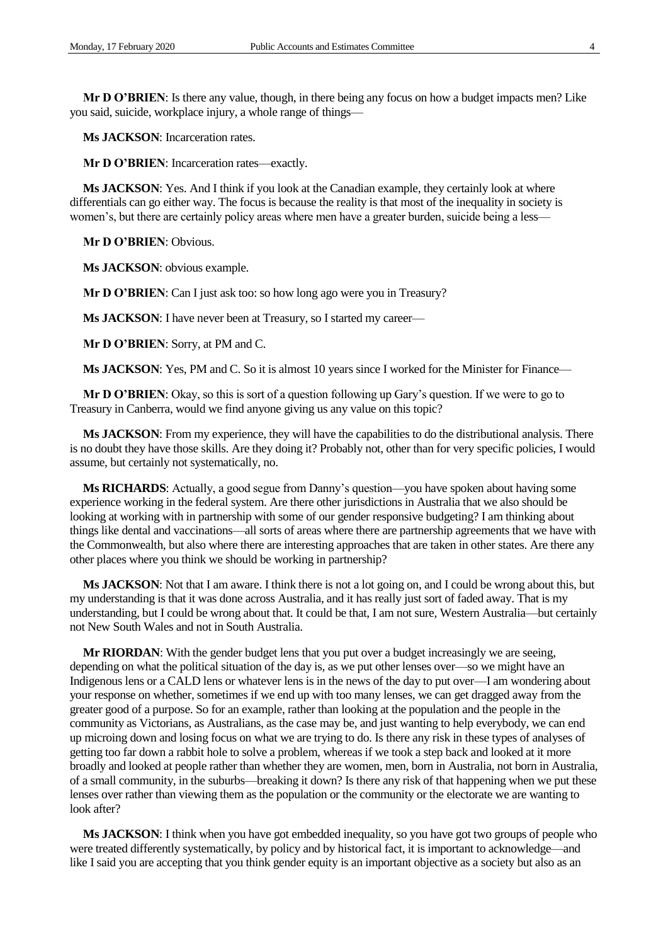**Mr D O'BRIEN**: Is there any value, though, in there being any focus on how a budget impacts men? Like you said, suicide, workplace injury, a whole range of things—

**Ms JACKSON**: Incarceration rates.

**Mr D O'BRIEN**: Incarceration rates—exactly.

**Ms JACKSON**: Yes. And I think if you look at the Canadian example, they certainly look at where differentials can go either way. The focus is because the reality is that most of the inequality in society is women's, but there are certainly policy areas where men have a greater burden, suicide being a less—

**Mr D O'BRIEN**: Obvious.

**Ms JACKSON**: obvious example.

**Mr D O'BRIEN:** Can I just ask too: so how long ago were you in Treasury?

**Ms JACKSON**: I have never been at Treasury, so I started my career—

**Mr D O'BRIEN**: Sorry, at PM and C.

**Ms JACKSON**: Yes, PM and C. So it is almost 10 years since I worked for the Minister for Finance—

**Mr D O'BRIEN**: Okay, so this is sort of a question following up Gary's question. If we were to go to Treasury in Canberra, would we find anyone giving us any value on this topic?

**Ms JACKSON**: From my experience, they will have the capabilities to do the distributional analysis. There is no doubt they have those skills. Are they doing it? Probably not, other than for very specific policies, I would assume, but certainly not systematically, no.

**Ms RICHARDS**: Actually, a good segue from Danny's question—you have spoken about having some experience working in the federal system. Are there other jurisdictions in Australia that we also should be looking at working with in partnership with some of our gender responsive budgeting? I am thinking about things like dental and vaccinations—all sorts of areas where there are partnership agreements that we have with the Commonwealth, but also where there are interesting approaches that are taken in other states. Are there any other places where you think we should be working in partnership?

**Ms JACKSON**: Not that I am aware. I think there is not a lot going on, and I could be wrong about this, but my understanding is that it was done across Australia, and it has really just sort of faded away. That is my understanding, but I could be wrong about that. It could be that, I am not sure, Western Australia—but certainly not New South Wales and not in South Australia.

**Mr RIORDAN**: With the gender budget lens that you put over a budget increasingly we are seeing, depending on what the political situation of the day is, as we put other lenses over—so we might have an Indigenous lens or a CALD lens or whatever lens is in the news of the day to put over—I am wondering about your response on whether, sometimes if we end up with too many lenses, we can get dragged away from the greater good of a purpose. So for an example, rather than looking at the population and the people in the community as Victorians, as Australians, as the case may be, and just wanting to help everybody, we can end up microing down and losing focus on what we are trying to do. Is there any risk in these types of analyses of getting too far down a rabbit hole to solve a problem, whereas if we took a step back and looked at it more broadly and looked at people rather than whether they are women, men, born in Australia, not born in Australia, of a small community, in the suburbs—breaking it down? Is there any risk of that happening when we put these lenses over rather than viewing them as the population or the community or the electorate we are wanting to look after?

**Ms JACKSON**: I think when you have got embedded inequality, so you have got two groups of people who were treated differently systematically, by policy and by historical fact, it is important to acknowledge—and like I said you are accepting that you think gender equity is an important objective as a society but also as an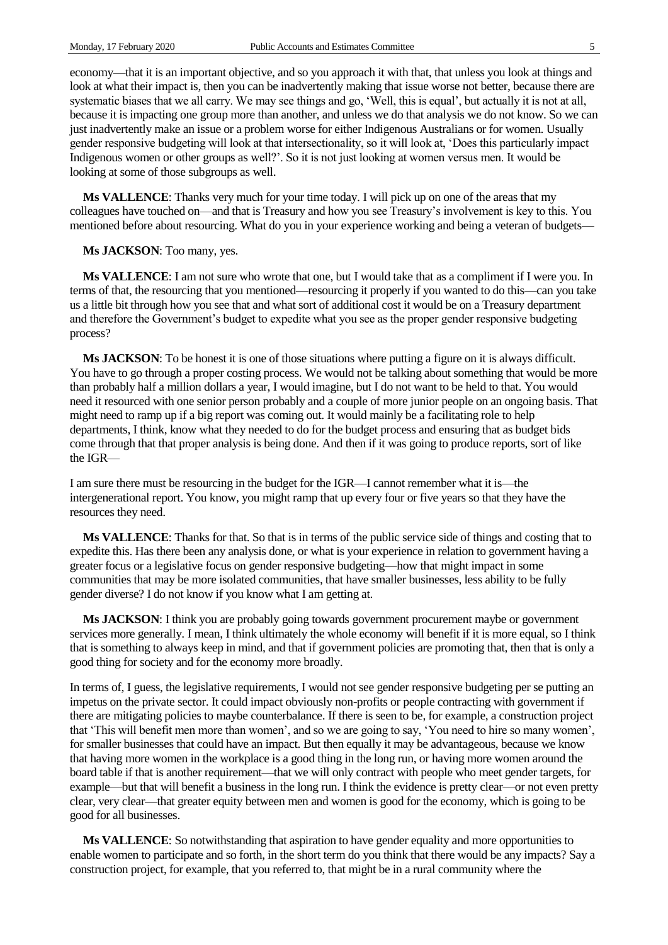economy—that it is an important objective, and so you approach it with that, that unless you look at things and look at what their impact is, then you can be inadvertently making that issue worse not better, because there are systematic biases that we all carry. We may see things and go, 'Well, this is equal', but actually it is not at all, because it is impacting one group more than another, and unless we do that analysis we do not know. So we can just inadvertently make an issue or a problem worse for either Indigenous Australians or for women. Usually gender responsive budgeting will look at that intersectionality, so it will look at, 'Does this particularly impact Indigenous women or other groups as well?'. So it is not just looking at women versus men. It would be looking at some of those subgroups as well.

**Ms VALLENCE**: Thanks very much for your time today. I will pick up on one of the areas that my colleagues have touched on—and that is Treasury and how you see Treasury's involvement is key to this. You mentioned before about resourcing. What do you in your experience working and being a veteran of budgets—

**Ms JACKSON**: Too many, yes.

**Ms VALLENCE**: I am not sure who wrote that one, but I would take that as a compliment if I were you. In terms of that, the resourcing that you mentioned—resourcing it properly if you wanted to do this—can you take us a little bit through how you see that and what sort of additional cost it would be on a Treasury department and therefore the Government's budget to expedite what you see as the proper gender responsive budgeting process?

**Ms JACKSON**: To be honest it is one of those situations where putting a figure on it is always difficult. You have to go through a proper costing process. We would not be talking about something that would be more than probably half a million dollars a year, I would imagine, but I do not want to be held to that. You would need it resourced with one senior person probably and a couple of more junior people on an ongoing basis. That might need to ramp up if a big report was coming out. It would mainly be a facilitating role to help departments, I think, know what they needed to do for the budget process and ensuring that as budget bids come through that that proper analysis is being done. And then if it was going to produce reports, sort of like the IGR—

I am sure there must be resourcing in the budget for the IGR—I cannot remember what it is—the intergenerational report. You know, you might ramp that up every four or five years so that they have the resources they need.

**Ms VALLENCE**: Thanks for that. So that is in terms of the public service side of things and costing that to expedite this. Has there been any analysis done, or what is your experience in relation to government having a greater focus or a legislative focus on gender responsive budgeting—how that might impact in some communities that may be more isolated communities, that have smaller businesses, less ability to be fully gender diverse? I do not know if you know what I am getting at.

**Ms JACKSON**: I think you are probably going towards government procurement maybe or government services more generally. I mean, I think ultimately the whole economy will benefit if it is more equal, so I think that is something to always keep in mind, and that if government policies are promoting that, then that is only a good thing for society and for the economy more broadly.

In terms of, I guess, the legislative requirements, I would not see gender responsive budgeting per se putting an impetus on the private sector. It could impact obviously non-profits or people contracting with government if there are mitigating policies to maybe counterbalance. If there is seen to be, for example, a construction project that 'This will benefit men more than women', and so we are going to say, 'You need to hire so many women', for smaller businesses that could have an impact. But then equally it may be advantageous, because we know that having more women in the workplace is a good thing in the long run, or having more women around the board table if that is another requirement—that we will only contract with people who meet gender targets, for example—but that will benefit a business in the long run. I think the evidence is pretty clear—or not even pretty clear, very clear—that greater equity between men and women is good for the economy, which is going to be good for all businesses.

**Ms VALLENCE**: So notwithstanding that aspiration to have gender equality and more opportunities to enable women to participate and so forth, in the short term do you think that there would be any impacts? Say a construction project, for example, that you referred to, that might be in a rural community where the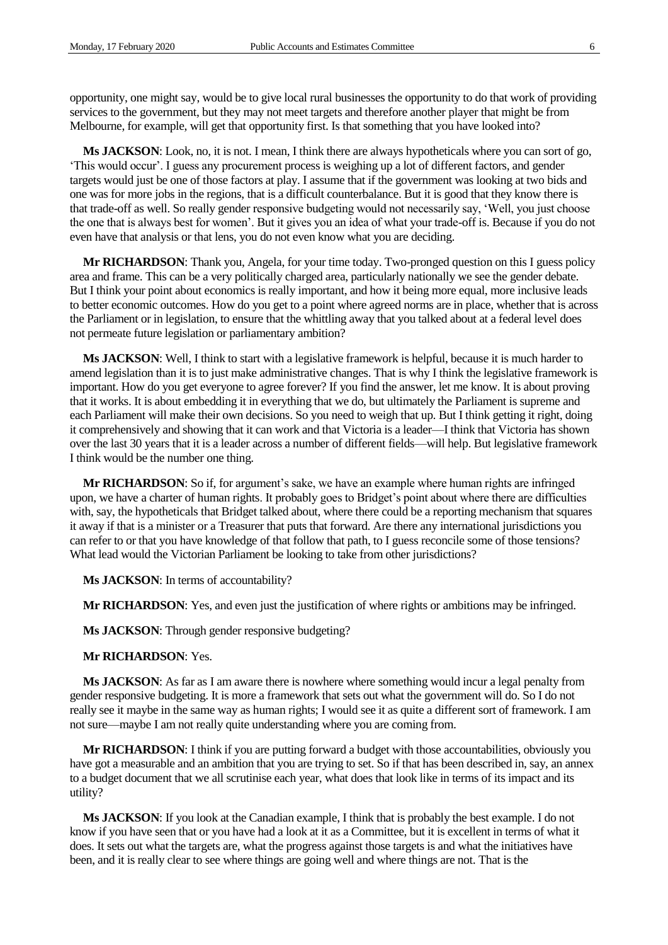opportunity, one might say, would be to give local rural businesses the opportunity to do that work of providing services to the government, but they may not meet targets and therefore another player that might be from Melbourne, for example, will get that opportunity first. Is that something that you have looked into?

**Ms JACKSON**: Look, no, it is not. I mean, I think there are always hypotheticals where you can sort of go, 'This would occur'. I guess any procurement process is weighing up a lot of different factors, and gender targets would just be one of those factors at play. I assume that if the government was looking at two bids and one was for more jobs in the regions, that is a difficult counterbalance. But it is good that they know there is that trade-off as well. So really gender responsive budgeting would not necessarily say, 'Well, you just choose the one that is always best for women'. But it gives you an idea of what your trade-off is. Because if you do not even have that analysis or that lens, you do not even know what you are deciding.

**Mr RICHARDSON**: Thank you, Angela, for your time today. Two-pronged question on this I guess policy area and frame. This can be a very politically charged area, particularly nationally we see the gender debate. But I think your point about economics is really important, and how it being more equal, more inclusive leads to better economic outcomes. How do you get to a point where agreed norms are in place, whether that is across the Parliament or in legislation, to ensure that the whittling away that you talked about at a federal level does not permeate future legislation or parliamentary ambition?

**Ms JACKSON**: Well, I think to start with a legislative framework is helpful, because it is much harder to amend legislation than it is to just make administrative changes. That is why I think the legislative framework is important. How do you get everyone to agree forever? If you find the answer, let me know. It is about proving that it works. It is about embedding it in everything that we do, but ultimately the Parliament is supreme and each Parliament will make their own decisions. So you need to weigh that up. But I think getting it right, doing it comprehensively and showing that it can work and that Victoria is a leader—I think that Victoria has shown over the last 30 years that it is a leader across a number of different fields—will help. But legislative framework I think would be the number one thing.

**Mr RICHARDSON**: So if, for argument's sake, we have an example where human rights are infringed upon, we have a charter of human rights. It probably goes to Bridget's point about where there are difficulties with, say, the hypotheticals that Bridget talked about, where there could be a reporting mechanism that squares it away if that is a minister or a Treasurer that puts that forward. Are there any international jurisdictions you can refer to or that you have knowledge of that follow that path, to I guess reconcile some of those tensions? What lead would the Victorian Parliament be looking to take from other jurisdictions?

**Ms JACKSON**: In terms of accountability?

**Mr RICHARDSON**: Yes, and even just the justification of where rights or ambitions may be infringed.

**Ms JACKSON**: Through gender responsive budgeting?

#### **Mr RICHARDSON**: Yes.

**Ms JACKSON**: As far as I am aware there is nowhere where something would incur a legal penalty from gender responsive budgeting. It is more a framework that sets out what the government will do. So I do not really see it maybe in the same way as human rights; I would see it as quite a different sort of framework. I am not sure—maybe I am not really quite understanding where you are coming from.

**Mr RICHARDSON**: I think if you are putting forward a budget with those accountabilities, obviously you have got a measurable and an ambition that you are trying to set. So if that has been described in, say, an annex to a budget document that we all scrutinise each year, what does that look like in terms of its impact and its utility?

**Ms JACKSON**: If you look at the Canadian example, I think that is probably the best example. I do not know if you have seen that or you have had a look at it as a Committee, but it is excellent in terms of what it does. It sets out what the targets are, what the progress against those targets is and what the initiatives have been, and it is really clear to see where things are going well and where things are not. That is the